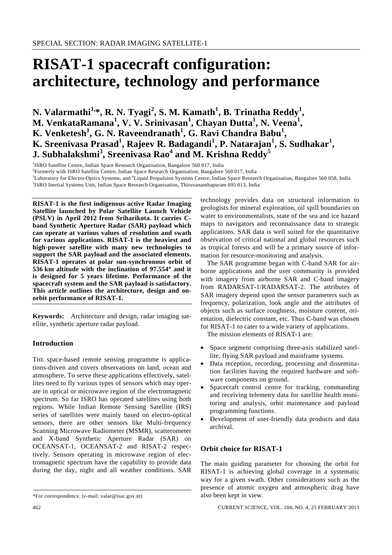# **RISAT-1 spacecraft configuration: architecture, technology and performance**

**N. Valarmathi<sup>1,\*</sup>, R. N. Tyagi<sup>2</sup>, S. M. Kamath<sup>1</sup>, B. Trinatha Reddy<sup>1</sup>, M. VenkataRamana<sup>1</sup> , V. V. Srinivasan<sup>1</sup> , Chayan Dutta<sup>1</sup> , N. Veena<sup>1</sup> , K. Venketesh<sup>1</sup>, G. N. Raveendranath<sup>1</sup>, G. Ravi Chandra Babu<sup>1</sup>,**  $\boldsymbol{\mathrm{K}}$ . Sreenivasa Prasad<sup>1</sup>, Rajeev R. Badagandi<sup>1</sup>, P. Natarajan<sup>1</sup>, S. Sudhakar<sup>1</sup>, **J. Subhalakshmi<sup>3</sup> , Sreenivasa Rao<sup>4</sup> and M. Krishna Reddy<sup>5</sup>**

<sup>1</sup>ISRO Satellite Centre, Indian Space Research Organisation, Bangalore 560 017, India<br><sup>2</sup>Eermerly with JSRO Satellite Centre, Indian Space Because Organisation, Bangalore

<sup>2</sup>Formerly with ISRO Satellite Centre, Indian Space Research Organisation, Bangalore 560 017, India

<sup>3</sup>Laboratory for Electro-Optics Systems, and <sup>4</sup>Liquid Propulsion Systems Centre, Indian Space Research Organisation, Bangalore 560 058, India 5<sup>5</sup>ISBO Increased Initial Systems Unit, Indian Space Research Organisation, T

<sup>5</sup>ISRO Inertial Systems Unit, Indian Space Research Organisation, Thiruvananthapuram 695 013, India

**RISAT-1 is the first indigenous active Radar Imaging Satellite launched by Polar Satellite Launch Vehicle (PSLV) in April 2012 from Sriharikota. It carries Cband Synthetic Aperture Radar (SAR) payload which can operate at various values of resolution and swath for various applications. RISAT-1 is the heaviest and high-power satellite with many new technologies to support the SAR payload and the associated elements. RISAT-1 operates at polar sun-synchronous orbit of 536 km altitude with the inclination of 97.554**° **and it is designed for 5 years lifetime. Performance of the spacecraft system and the SAR payload is satisfactory. This article outlines the architecture, design and onorbit performance of RISAT-1.** 

**Keywords:** Architecture and design, radar imaging satellite, synthetic aperture radar payload.

## **Introduction**

THE space-based remote sensing programme is applications-driven and covers observations on land, ocean and atmosphere. To serve these applications effectively, satellites need to fly various types of sensors which may operate in optical or microwave region of the electromagnetic spectrum. So far ISRO has operated satellites using both regions. While Indian Remote Sensing Satellite (IRS) series of satellites were mainly based on electro-optical sensors, there are other sensors like Multi-frequency Scanning Microwave Radiometer (MSMR), scatterometer and X-band Synthetic Aperture Radar (SAR) on OCEANSAT-1, OCEANSAT-2 and RISAT-2 respectively. Sensors operating in microwave region of electromagnetic spectrum have the capability to provide data during the day, night and all weather conditions. SAR

technology provides data on structural information to geologists for mineral exploration, oil spill boundaries on water to environmentalists, state of the sea and ice hazard maps to navigators and reconnaissance data to strategic applications. SAR data is well suited for the quantitative observation of critical national and global resources such as tropical forests and will be a primary source of information for resource-monitoring and analysis.

 The SAR programme began with C-band SAR for airborne applications and the user community is provided with imagery from airborne SAR and C-band imagery from RADARSAT-1/RADARSAT-2. The attributes of SAR imagery depend upon the sensor parameters such as frequency, polarization, look angle and the attributes of objects such as surface roughness, moisture content, orientation, dielectric constant, etc. Thus C-band was chosen for RISAT-1 to cater to a wide variety of applications.

The mission elements of RISAT-1 are:

- Space segment comprising three-axis stabilized satellite, flying SAR payload and mainframe systems.
- Data reception, recording, processing and dissemination facilities having the required hardware and software components on ground.
- Spacecraft control centre for tracking, commanding and receiving telemetry data for satellite health monitoring and analysis, orbit maintenance and payload programming functions.
- Development of user-friendly data products and data archival.

## **Orbit choice for RISAT-1**

The main guiding parameter for choosing the orbit for RISAT-1 is achieving global coverage in a systematic way for a given swath. Other considerations such as the presence of atomic oxygen and atmospheric drag have also been kept in view.

<sup>\*</sup>For correspondence. (e-mail: valar@isac.gov.in)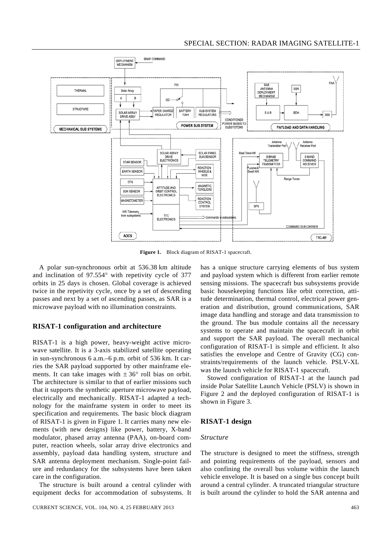

**Figure 1.** Block diagram of RISAT-1 spacecraft.

 A polar sun-synchronous orbit at 536.38 km altitude and inclination of 97.554° with repetivity cycle of 377 orbits in 25 days is chosen. Global coverage is achieved twice in the repetivity cycle, once by a set of descending passes and next by a set of ascending passes, as SAR is a microwave payload with no illumination constraints.

## **RISAT-1 configuration and architecture**

RISAT-1 is a high power, heavy-weight active microwave satellite. It is a 3-axis stabilized satellite operating in sun-synchronous 6 a.m.–6 p.m. orbit of 536 km. It carries the SAR payload supported by other mainframe elements. It can take images with  $\pm 36^{\circ}$  roll bias on orbit. The architecture is similar to that of earlier missions such that it supports the synthetic aperture microwave payload, electrically and mechanically. RISAT-1 adapted a technology for the mainframe system in order to meet its specification and requirements. The basic block diagram of RISAT-1 is given in Figure 1. It carries many new elements (with new designs) like power, battery, X-band modulator, phased array antenna (PAA), on-board computer, reaction wheels, solar array drive electronics and assembly, payload data handling system, structure and SAR antenna deployment mechanism. Single-point failure and redundancy for the subsystems have been taken care in the configuration.

 The structure is built around a central cylinder with equipment decks for accommodation of subsystems. It has a unique structure carrying elements of bus system and payload system which is different from earlier remote sensing missions. The spacecraft bus subsystems provide basic housekeeping functions like orbit correction, attitude determination, thermal control, electrical power generation and distribution, ground communications, SAR image data handling and storage and data transmission to the ground. The bus module contains all the necessary systems to operate and maintain the spacecraft in orbit and support the SAR payload. The overall mechanical configuration of RISAT-1 is simple and efficient. It also satisfies the envelope and Centre of Gravity (CG) constraints/requirements of the launch vehicle. PSLV-XL was the launch vehicle for RISAT-1 spacecraft.

 Stowed configuration of RISAT-1 at the launch pad inside Polar Satellite Launch Vehicle (PSLV) is shown in Figure 2 and the deployed configuration of RISAT-1 is shown in Figure 3.

#### **RISAT-1 design**

#### *Structure*

The structure is designed to meet the stiffness, strength and pointing requirements of the payload, sensors and also confining the overall bus volume within the launch vehicle envelope. It is based on a single bus concept built around a central cylinder. A truncated triangular structure is built around the cylinder to hold the SAR antenna and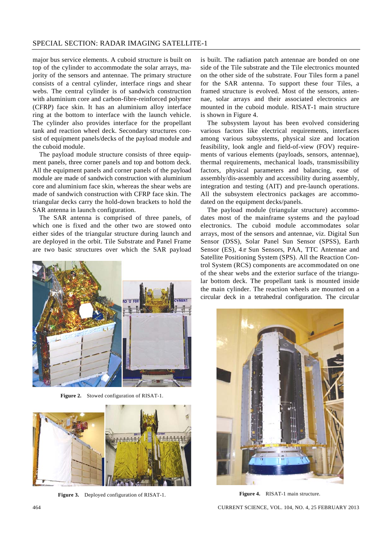major bus service elements. A cuboid structure is built on top of the cylinder to accommodate the solar arrays, majority of the sensors and antennae. The primary structure consists of a central cylinder, interface rings and shear webs. The central cylinder is of sandwich construction with aluminium core and carbon-fibre-reinforced polymer (CFRP) face skin. It has an aluminium alloy interface ring at the bottom to interface with the launch vehicle. The cylinder also provides interface for the propellant tank and reaction wheel deck. Secondary structures consist of equipment panels/decks of the payload module and the cuboid module.

 The payload module structure consists of three equipment panels, three corner panels and top and bottom deck. All the equipment panels and corner panels of the payload module are made of sandwich construction with aluminium core and aluminium face skin, whereas the shear webs are made of sandwich construction with CFRP face skin. The triangular decks carry the hold-down brackets to hold the SAR antenna in launch configuration.

 The SAR antenna is comprised of three panels, of which one is fixed and the other two are stowed onto either sides of the triangular structure during launch and are deployed in the orbit. Tile Substrate and Panel Frame are two basic structures over which the SAR payload



**Figure 2.** Stowed configuration of RISAT-1.



**Figure 3.** Deployed configuration of RISAT-1.

is built. The radiation patch antennae are bonded on one side of the Tile substrate and the Tile electronics mounted on the other side of the substrate. Four Tiles form a panel for the SAR antenna. To support these four Tiles, a framed structure is evolved. Most of the sensors, antennae, solar arrays and their associated electronics are mounted in the cuboid module. RISAT-1 main structure is shown in Figure 4.

 The subsystem layout has been evolved considering various factors like electrical requirements, interfaces among various subsystems, physical size and location feasibility, look angle and field-of-view (FOV) requirements of various elements (payloads, sensors, antennae), thermal requirements, mechanical loads, transmissibility factors, physical parameters and balancing, ease of assembly/dis-assembly and accessibility during assembly, integration and testing (AIT) and pre-launch operations. All the subsystem electronics packages are accommodated on the equipment decks/panels.

 The payload module (triangular structure) accommodates most of the mainframe systems and the payload electronics. The cuboid module accommodates solar arrays, most of the sensors and antennae, viz. Digital Sun Sensor (DSS), Solar Panel Sun Sensor (SPSS), Earth Sensor (ES),  $4\pi$  Sun Sensors, PAA, TTC Antennae and Satellite Positioning System (SPS). All the Reaction Control System (RCS) components are accommodated on one of the shear webs and the exterior surface of the triangular bottom deck. The propellant tank is mounted inside the main cylinder. The reaction wheels are mounted on a circular deck in a tetrahedral configuration. The circular



**Figure 4.** RISAT-1 main structure.

464 CURRENT SCIENCE, VOL. 104, NO. 4, 25 FEBRUARY 2013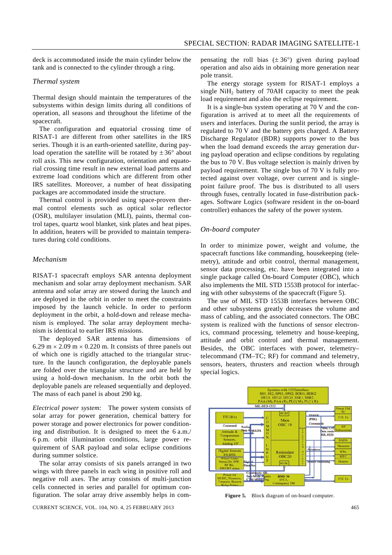deck is accommodated inside the main cylinder below the tank and is connected to the cylinder through a ring.

#### *Thermal system*

Thermal design should maintain the temperatures of the subsystems within design limits during all conditions of operation, all seasons and throughout the lifetime of the spacecraft.

 The configuration and equatorial crossing time of RISAT-1 are different from other satellites in the IRS series. Though it is an earth-oriented satellite, during payload operation the satellite will be rotated by  $\pm 36^{\circ}$  about roll axis. This new configuration, orientation and equatorial crossing time result in new external load patterns and extreme load conditions which are different from other IRS satellites. Moreover, a number of heat dissipating packages are accommodated inside the structure.

 Thermal control is provided using space-proven thermal control elements such as optical solar reflector (OSR), multilayer insulation (MLI), paints, thermal control tapes, quartz wool blanket, sink plates and heat pipes. In addition, heaters will be provided to maintain temperatures during cold conditions.

## *Mechanism*

RISAT-1 spacecraft employs SAR antenna deployment mechanism and solar array deployment mechanism. SAR antenna and solar array are stowed during the launch and are deployed in the orbit in order to meet the constraints imposed by the launch vehicle. In order to perform deployment in the orbit, a hold-down and release mechanism is employed. The solar array deployment mechanism is identical to earlier IRS missions.

 The deployed SAR antenna has dimensions of 6.29 m  $\times$  2.09 m  $\times$  0.220 m. It consists of three panels out of which one is rigidly attached to the triangular structure. In the launch configuration, the deployable panels are folded over the triangular structure and are held by using a hold-down mechanism. In the orbit both the deployable panels are released sequentially and deployed. The mass of each panel is about 290 kg.

*Electrical power system:* The power system consists of solar array for power generation, chemical battery for power storage and power electronics for power conditioning and distribution. It is designed to meet the 6 a.m./ 6 p.m. orbit illumination conditions, large power requirement of SAR payload and solar eclipse conditions during summer solstice.

 The solar array consists of six panels arranged in two wings with three panels in each wing in positive roll and negative roll axes. The array consists of multi-junction cells connected in series and parallel for optimum configuration. The solar array drive assembly helps in com-

CURRENT SCIENCE, VOL. 104, NO. 4, 25 FEBRUARY 2013 465

pensating the roll bias  $(\pm 36^{\circ})$  given during payload operation and also aids in obtaining more generation near pole transit.

 The energy storage system for RISAT-1 employs a single  $NiH<sub>2</sub>$  battery of 70AH capacity to meet the peak load requirement and also the eclipse requirement.

 It is a single-bus system operating at 70 V and the configuration is arrived at to meet all the requirements of users and interfaces. During the sunlit period, the array is regulated to 70 V and the battery gets charged. A Battery Discharge Regulator (BDR) supports power to the bus when the load demand exceeds the array generation during payload operation and eclipse conditions by regulating the bus to 70 V. Bus voltage selection is mainly driven by payload requirement. The single bus of 70 V is fully protected against over voltage, over current and is singlepoint failure proof. The bus is distributed to all users through fuses, centrally located in fuse-distribution packages. Software Logics (software resident in the on-board controller) enhances the safety of the power system.

#### *On-board computer*

In order to minimize power, weight and volume, the spacecraft functions like commanding, housekeeping (telemetry), attitude and orbit control, thermal management, sensor data processing, etc. have been integrated into a single package called On-board Computer (OBC), which also implements the MIL STD 1553B protocol for interfacing with other subsystems of the spacecraft (Figure 5).

 The use of MIL STD 1553B interfaces between OBC and other subsystems greatly decreases the volume and mass of cabling, and the associated connectors. The OBC system is realized with the functions of sensor electronics, command processing, telemetry and house-keeping, attitude and orbit control and thermal management. Besides, the OBC interfaces with power, telemetry– telecommand (TM–TC; RF) for command and telemetry, sensors, heaters, thrusters and reaction wheels through special logics.



**Figure 5.** Block diagram of on-board computer.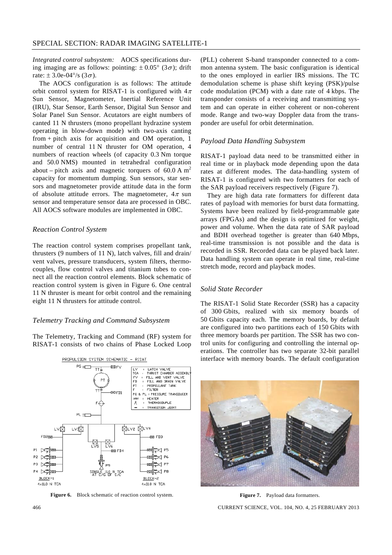*Integrated control subsystem:* AOCS specifications during imaging are as follows: pointing:  $\pm 0.05^{\circ}$  (3 $\sigma$ ); drift rate:  $\pm$  3.0e-04°/s (3 $\sigma$ ).

 The AOCS configuration is as follows: The attitude orbit control system for RISAT-1 is configured with  $4\pi$ Sun Sensor, Magnetometer, Inertial Reference Unit (IRU), Star Sensor, Earth Sensor, Digital Sun Sensor and Solar Panel Sun Sensor. Acutators are eight numbers of canted 11 N thrusters (mono propellant hydrazine system operating in blow-down mode) with two-axis canting from + pitch axis for acquisition and OM operation, 1 number of central 11 N thruster for OM operation, 4 numbers of reaction wheels (of capacity 0.3 Nm torque and 50.0 NMS) mounted in tetrahedral configuration about – pitch axis and magnetic torquers of 60.0 A  $m<sup>2</sup>$ capacity for momentum dumping. Sun sensors, star sensors and magnetometer provide attitude data in the form of absolute attitude errors. The magnetometer,  $4\pi$  sun sensor and temperature sensor data are processed in OBC. All AOCS software modules are implemented in OBC.

## *Reaction Control System*

The reaction control system comprises propellant tank, thrusters (9 numbers of 11 N), latch valves, fill and drain/ vent valves, pressure transducers, system filters, thermocouples, flow control valves and titanium tubes to connect all the reaction control elements. Block schematic of reaction control system is given in Figure 6. One central 11 N thruster is meant for orbit control and the remaining eight 11 N thrusters for attitude control.

#### *Telemetry Tracking and Command Subsystem*

The Telemetry, Tracking and Command (RF) system for RISAT-1 consists of two chains of Phase Locked Loop



**Figure 6.** Block schematic of reaction control system.

(PLL) coherent S-band transponder connected to a common antenna system. The basic configuration is identical to the ones employed in earlier IRS missions. The TC demodulation scheme is phase shift keying (PSK)/pulse code modulation (PCM) with a date rate of 4 kbps. The transponder consists of a receiving and transmitting system and can operate in either coherent or non-coherent mode. Range and two-way Doppler data from the transponder are useful for orbit determination.

#### *Payload Data Handling Subsystem*

RISAT-1 payload data need to be transmitted either in real time or in playback mode depending upon the data rates at different modes. The data-handling system of RISAT-1 is configured with two formatters for each of the SAR payload receivers respectively (Figure 7).

 They are high data rate formatters for different data rates of payload with memories for burst data formatting. Systems have been realized by field-programmable gate arrays (FPGAs) and the design is optimized for weight, power and volume. When the data rate of SAR payload and BDH overhead together is greater than 640 Mbps, real-time transmission is not possible and the data is recorded in SSR. Recorded data can be played back later. Data handling system can operate in real time, real-time stretch mode, record and playback modes.

#### *Solid State Recorder*

The RISAT-1 Solid State Recorder (SSR) has a capacity of 300 Gbits, realized with six memory boards of 50 Gbits capacity each. The memory boards, by default are configured into two partitions each of 150 Gbits with three memory boards per partition. The SSR has two control units for configuring and controlling the internal operations. The controller has two separate 32-bit parallel interface with memory boards. The default configuration



**Figure 7.** Payload data formatters.

466 CURRENT SCIENCE, VOL. 104, NO. 4, 25 FEBRUARY 2013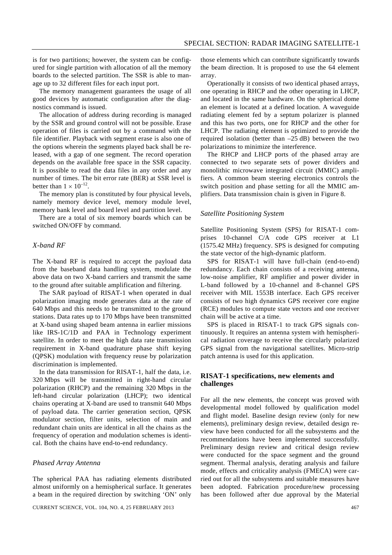is for two partitions; however, the system can be configured for single partition with allocation of all the memory boards to the selected partition. The SSR is able to manage up to 32 different files for each input port.

 The memory management guarantees the usage of all good devices by automatic configuration after the diagnostics command is issued.

 The allocation of address during recording is managed by the SSR and ground control will not be possible. Erase operation of files is carried out by a command with the file identifier. Playback with segment erase is also one of the options wherein the segments played back shall be released, with a gap of one segment. The record operation depends on the available free space in the SSR capacity. It is possible to read the data files in any order and any number of times. The bit error rate (BER) at SSR level is better than  $1 \times 10^{-12}$ .

 The memory plan is constituted by four physical levels, namely memory device level, memory module level, memory bank level and board level and partition level.

 There are a total of six memory boards which can be switched ON/OFF by command.

## *X-band RF*

The X-band RF is required to accept the payload data from the baseband data handling system, modulate the above data on two X-band carriers and transmit the same to the ground after suitable amplification and filtering.

 The SAR payload of RISAT-1 when operated in dual polarization imaging mode generates data at the rate of 640 Mbps and this needs to be transmitted to the ground stations. Data rates up to 170 Mbps have been transmitted at X-band using shaped beam antenna in earlier missions like IRS-1C/1D and PAA in Technology experiment satellite. In order to meet the high data rate transmission requirement in X-band quadrature phase shift keying (QPSK) modulation with frequency reuse by polarization discrimination is implemented.

 In the data transmission for RISAT-1, half the data, i.e. 320 Mbps will be transmitted in right-hand circular polarization (RHCP) and the remaining 320 Mbps in the left-hand circular polarization (LHCP); two identical chains operating at X-band are used to transmit 640 Mbps of payload data. The carrier generation section, QPSK modulator section, filter units, selection of main and redundant chain units are identical in all the chains as the frequency of operation and modulation schemes is identical. Both the chains have end-to-end redundancy.

#### *Phased Array Antenna*

The spherical PAA has radiating elements distributed almost uniformly on a hemispherical surface. It generates a beam in the required direction by switching 'ON' only

those elements which can contribute significantly towards the beam direction. It is proposed to use the 64 element array.

 Operationally it consists of two identical phased arrays, one operating in RHCP and the other operating in LHCP, and located in the same hardware. On the spherical dome an element is located at a defined location. A waveguide radiating element fed by a septum polarizer is planned and this has two ports, one for RHCP and the other for LHCP. The radiating element is optimized to provide the required isolation (better than  $-25$  dB) between the two polarizations to minimize the interference.

 The RHCP and LHCP ports of the phased array are connected to two separate sets of power dividers and monolithic microwave integrated circuit (MMIC) amplifiers. A common beam steering electronics controls the switch position and phase setting for all the MMIC amplifiers. Data transmission chain is given in Figure 8.

#### *Satellite Positioning System*

Satellite Positioning System (SPS) for RISAT-1 comprises 10-channel C/A code GPS receiver at L1 (1575.42 MHz) frequency. SPS is designed for computing the state vector of the high-dynamic platform.

 SPS for RISAT-1 will have full-chain (end-to-end) redundancy. Each chain consists of a receiving antenna, low-noise amplifier, RF amplifier and power divider in L-band followed by a 10-channel and 8-channel GPS receiver with MIL 1553B interface. Each GPS receiver consists of two high dynamics GPS receiver core engine (RCE) modules to compute state vectors and one receiver chain will be active at a time.

 SPS is placed in RISAT-1 to track GPS signals continuously. It requires an antenna system with hemispherical radiation coverage to receive the circularly polarized GPS signal from the navigational satellites. Micro-strip patch antenna is used for this application.

#### **RISAT-1 specifications, new elements and challenges**

For all the new elements, the concept was proved with developmental model followed by qualification model and flight model. Baseline design review (only for new elements), preliminary design review, detailed design review have been conducted for all the subsystems and the recommendations have been implemented successfully. Preliminary design review and critical design review were conducted for the space segment and the ground segment. Thermal analysis, derating analysis and failure mode, effects and criticality analysis (FMECA) were carried out for all the subsystems and suitable measures have been adopted. Fabrication procedure/new processing has been followed after due approval by the Material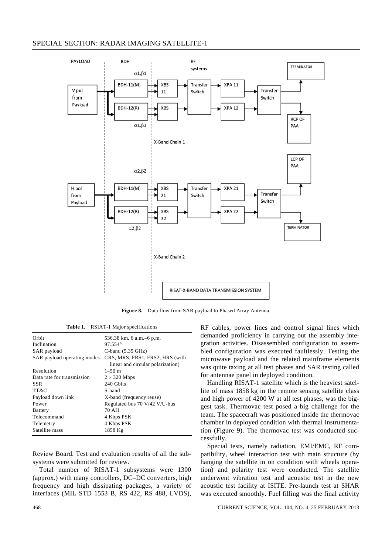## SPECIAL SECTION: RADAR IMAGING SATELLITE-1



**Figure 8.** Data flow from SAR payload to Phased Array Antenna.

| Table 1. |  | RSIAT-1 Major specifications |
|----------|--|------------------------------|
|          |  |                              |

| Orbit                       | 536.38 km, 6 a.m. - 6 p.m.                                           |  |
|-----------------------------|----------------------------------------------------------------------|--|
| Inclination                 | $97.554^{\circ}$                                                     |  |
| SAR payload                 | C-band $(5.35 \text{ GHz})$                                          |  |
| SAR payload operating modes | CRS, MRS, FRS1, FRS2, HRS (with<br>linear and circular polarization) |  |
| Resolution                  | $1 - 50$ m                                                           |  |
| Data rate for transmission  | $2 \times 320$ Mbps                                                  |  |
| SSR                         | 240 Gbits                                                            |  |
| TT&C                        | S-band                                                               |  |
| Payload down link           | X-band (frequency reuse)                                             |  |
| Power                       | Regulated bus 70 V/42 V/U-bus                                        |  |
| <b>Battery</b>              | 70 AH                                                                |  |
| Telecommand                 | 4 Kbps PSK                                                           |  |
| Telemetry                   | 4 Kbps PSK                                                           |  |
| Satellite mass              | 1858 Kg                                                              |  |
|                             |                                                                      |  |

Review Board. Test and evaluation results of all the subsystems were submitted for review.

 Total number of RISAT-1 subsystems were 1300 (approx.) with many controllers, DC–DC converters, high frequency and high dissipating packages, a variety of interfaces (MIL STD 1553 B, RS 422, RS 488, LVDS), RF cables, power lines and control signal lines which demanded proficiency in carrying out the assembly integration activities. Disassembled configuration to assembled configuration was executed faultlessly. Testing the microwave payload and the related mainframe elements was quite taxing at all test phases and SAR testing called for antennae panel in deployed condition.

 Handling RISAT-1 satellite which is the heaviest satellite of mass 1858 kg in the remote sensing satellite class and high power of 4200 W at all test phases, was the biggest task. Thermovac test posed a big challenge for the team. The spacecraft was positioned inside the thermovac chamber in deployed condition with thermal instrumentation (Figure 9). The thermovac test was conducted successfully.

 Special tests, namely radiation, EMI/EMC, RF compatibility, wheel interaction test with main structure (by hanging the satellite in on condition with wheels operation) and polarity test were conducted. The satellite underwent vibration test and acoustic test in the new acoustic test facility at ISITE. Pre-launch test at SHAR was executed smoothly. Fuel filling was the final activity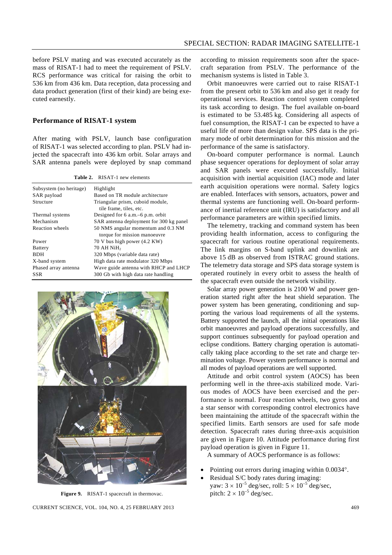before PSLV mating and was executed accurately as the mass of RISAT-1 had to meet the requirement of PSLV. RCS performance was critical for raising the orbit to 536 km from 436 km. Data reception, data processing and data product generation (first of their kind) are being executed earnestly.

#### **Performance of RISAT-1 system**

After mating with PSLV, launch base configuration of RISAT-1 was selected according to plan. PSLV had injected the spacecraft into 436 km orbit. Solar arrays and SAR antenna panels were deployed by snap command

**Table 2.** RISAT-1 new elements

| Subsystem (no heritage) | Highlight                               |  |
|-------------------------|-----------------------------------------|--|
| SAR payload             | Based on TR module architecture         |  |
| Structure               | Triangular prism, cuboid module,        |  |
|                         | tile frame, tiles, etc.                 |  |
| Thermal systems         | Designed for $6$ a.m. $-6$ p.m. orbit   |  |
| Mechanism               | SAR antenna deployment for 300 kg panel |  |
| Reaction wheels         | 50 NMS angular momentum and 0.3 NM      |  |
|                         | torque for mission manoeuvre            |  |
| Power                   | 70 V bus high power (4.2 KW)            |  |
| <b>Battery</b>          | 70 AH NiH <sub>2</sub>                  |  |
| <b>BDH</b>              | 320 Mbps (variable data rate)           |  |
| X-band system           | High data rate modulator 320 Mbps       |  |
| Phased array antenna    | Wave guide antenna with RHCP and LHCP   |  |
| <b>SSR</b>              | 300 Gb with high data rate handling     |  |
|                         |                                         |  |



**Figure 9.** RISAT-1 spacecraft in thermovac.

CURRENT SCIENCE, VOL. 104, NO. 4, 25 FEBRUARY 2013 469

according to mission requirements soon after the spacecraft separation from PSLV. The performance of the mechanism systems is listed in Table 3.

 Orbit manoeuvres were carried out to raise RISAT-1 from the present orbit to 536 km and also get it ready for operational services. Reaction control system completed its task according to design. The fuel available on-board is estimated to be 53.485 kg. Considering all aspects of fuel consumption, the RISAT-1 can be expected to have a useful life of more than design value. SPS data is the primary mode of orbit determination for this mission and the performance of the same is satisfactory.

 On-board computer performance is normal. Launch phase sequencer operations for deployment of solar array and SAR panels were executed successfully. Initial acquisition with inertial acquisition (IAC) mode and later earth acquisition operations were normal. Safety logics are enabled. Interfaces with sensors, actuators, power and thermal systems are functioning well. On-board performance of inertial reference unit (IRU) is satisfactory and all performance parameters are within specified limits.

 The telemetry, tracking and command system has been providing health information, access to configuring the spacecraft for various routine operational requirements. The link margins on S-band uplink and downlink are above 15 dB as observed from ISTRAC ground stations. The telemetry data storage and SPS data storage system is operated routinely in every orbit to assess the health of the spacecraft even outside the network visibility.

 Solar array power generation is 2100 W and power generation started right after the heat shield separation. The power system has been generating, conditioning and supporting the various load requirements of all the systems. Battery supported the launch, all the initial operations like orbit manoeuvres and payload operations successfully, and support continues subsequently for payload operation and eclipse conditions. Battery charging operation is automatically taking place according to the set rate and charge termination voltage. Power system performance is normal and all modes of payload operations are well supported.

 Attitude and orbit control system (AOCS) has been performing well in the three-axis stabilized mode. Various modes of AOCS have been exercised and the performance is normal. Four reaction wheels, two gyros and a star sensor with corresponding control electronics have been maintaining the attitude of the spacecraft within the specified limits. Earth sensors are used for safe mode detection. Spacecraft rates during three-axis acquisition are given in Figure 10. Attitude performance during first payload operation is given in Figure 11.

A summary of AOCS performance is as follows:

- Pointing out errors during imaging within 0.0034°.
- Residual S/C body rates during imaging: yaw:  $3 \times 10^{-5}$  deg/sec, roll:  $5 \times 10^{-5}$  deg/sec, pitch:  $2 \times 10^{-5}$  deg/sec.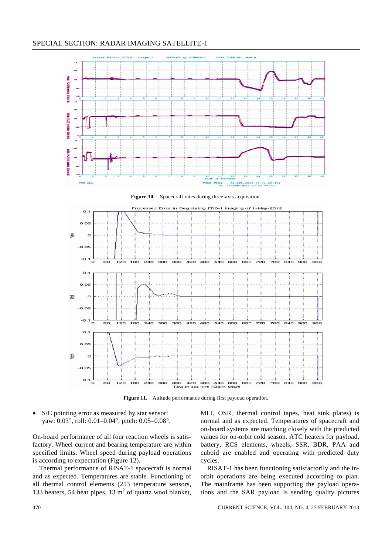

**Figure 10.** Spacecraft rates during three-axis acquisition.



**Figure 11.** Attitude performance during first payload operation.

• S/C pointing error as measured by star sensor: yaw: 0.03°, roll: 0.01–0.04°, pitch: 0.05–0.08°.

On-board performance of all four reaction wheels is satisfactory. Wheel current and bearing temperature are within specified limits. Wheel speed during payload operations is according to expectation (Figure 12).

 Thermal performance of RISAT-1 spacecraft is normal and as expected. Temperatures are stable. Functioning of all thermal control elements (253 temperature sensors, 133 heaters, 54 heat pipes, 13  $m<sup>2</sup>$  of quartz wool blanket, MLI, OSR, thermal control tapes, heat sink plates) is normal and as expected. Temperatures of spacecraft and on-board systems are matching closely with the predicted values for on-orbit cold season. ATC heaters for payload, battery, RCS elements, wheels, SSR, BDR, PAA and cuboid are enabled and operating with predicted duty cycles.

 RISAT-1 has been functioning satisfactorily and the inorbit operations are being executed according to plan. The mainframe has been supporting the payload operations and the SAR payload is sending quality pictures